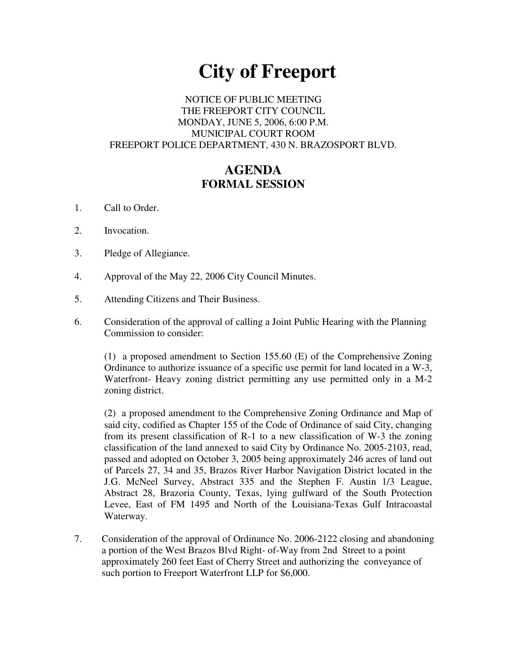# **City of Freeport**

#### NOTICE OF PUBLIC MEETING THE FREEPORT CITY COUNCIL MONDAY, JUNE 5, 2006, 6:00 P.M. MUNICIPAL COURT ROOM FREEPORT POLICE DEPARTMENT, 430 N. BRAZOSPORT BLVD.

# **AGENDA FORMAL SESSION**

- 1. Call to Order.
- 2. Invocation.
- 3. Pledge of Allegiance.
- 4. Approval of the May 22, 2006 City Council Minutes.
- 5. Attending Citizens and Their Business.
- 6. Consideration of the approval of calling a Joint Public Hearing with the Planning Commission to consider:

(1) a proposed amendment to Section 155.60 (E) of the Comprehensive Zoning Ordinance to authorize issuance of a specific use permit for land located in a W-3, Waterfront- Heavy zoning district permitting any use permitted only in a M-2 zoning district.

(2) a proposed amendment to the Comprehensive Zoning Ordinance and Map of said city, codified as Chapter 155 of the Code of Ordinance of said City, changing from its present classification of R-1 to a new classification of W-3 the zoning classification of the land annexed to said City by Ordinance No. 2005-2103, read, passed and adopted on October 3, 2005 being approximately 246 acres of land out of Parcels 27, 34 and 35, Brazos River Harbor Navigation District located in the J.G. McNeel Survey, Abstract 335 and the Stephen F. Austin 1/3 League, Abstract 28, Brazoria County, Texas, lying gulfward of the South Protection Levee, East of FM 1495 and North of the Louisiana-Texas Gulf Intracoastal Waterway.

7. Consideration of the approval of Ordinance No. 2006-2122 closing and abandoning a portion of the West Brazos Blvd Right- of-Way from 2nd Street to a point approximately 260 feet East of Cherry Street and authorizing the conveyance of such portion to Freeport Waterfront LLP for \$6,000.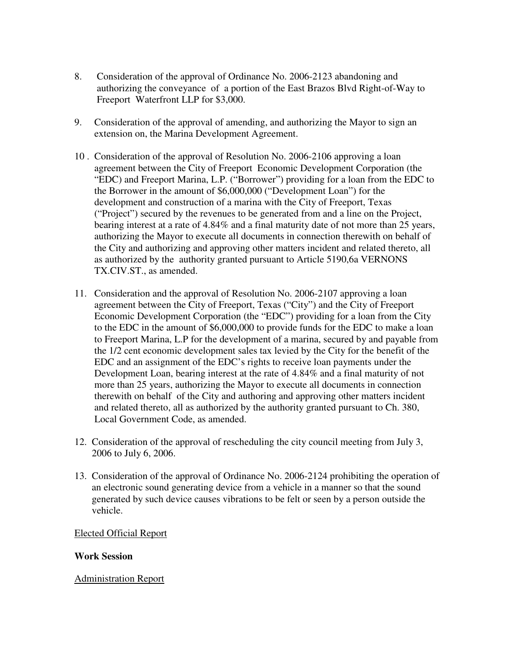- 8. Consideration of the approval of Ordinance No. 2006-2123 abandoning and authorizing the conveyance of a portion of the East Brazos Blvd Right-of-Way to Freeport Waterfront LLP for \$3,000.
- 9. Consideration of the approval of amending, and authorizing the Mayor to sign an extension on, the Marina Development Agreement.
- 10 . Consideration of the approval of Resolution No. 2006-2106 approving a loan agreement between the City of Freeport Economic Development Corporation (the "EDC) and Freeport Marina, L.P. ("Borrower") providing for a loan from the EDC to the Borrower in the amount of \$6,000,000 ("Development Loan") for the development and construction of a marina with the City of Freeport, Texas ("Project") secured by the revenues to be generated from and a line on the Project, bearing interest at a rate of 4.84% and a final maturity date of not more than 25 years, authorizing the Mayor to execute all documents in connection therewith on behalf of the City and authorizing and approving other matters incident and related thereto, all as authorized by the authority granted pursuant to Article 5190,6a VERNONS TX.CIV.ST., as amended.
- 11. Consideration and the approval of Resolution No. 2006-2107 approving a loan agreement between the City of Freeport, Texas ("City") and the City of Freeport Economic Development Corporation (the "EDC") providing for a loan from the City to the EDC in the amount of \$6,000,000 to provide funds for the EDC to make a loan to Freeport Marina, L.P for the development of a marina, secured by and payable from the 1/2 cent economic development sales tax levied by the City for the benefit of the EDC and an assignment of the EDC's rights to receive loan payments under the Development Loan, bearing interest at the rate of 4.84% and a final maturity of not more than 25 years, authorizing the Mayor to execute all documents in connection therewith on behalf of the City and authoring and approving other matters incident and related thereto, all as authorized by the authority granted pursuant to Ch. 380, Local Government Code, as amended.
- 12. Consideration of the approval of rescheduling the city council meeting from July 3, 2006 to July 6, 2006.
- 13. Consideration of the approval of Ordinance No. 2006-2124 prohibiting the operation of an electronic sound generating device from a vehicle in a manner so that the sound generated by such device causes vibrations to be felt or seen by a person outside the vehicle.

#### Elected Official Report

#### **Work Session**

# Administration Report